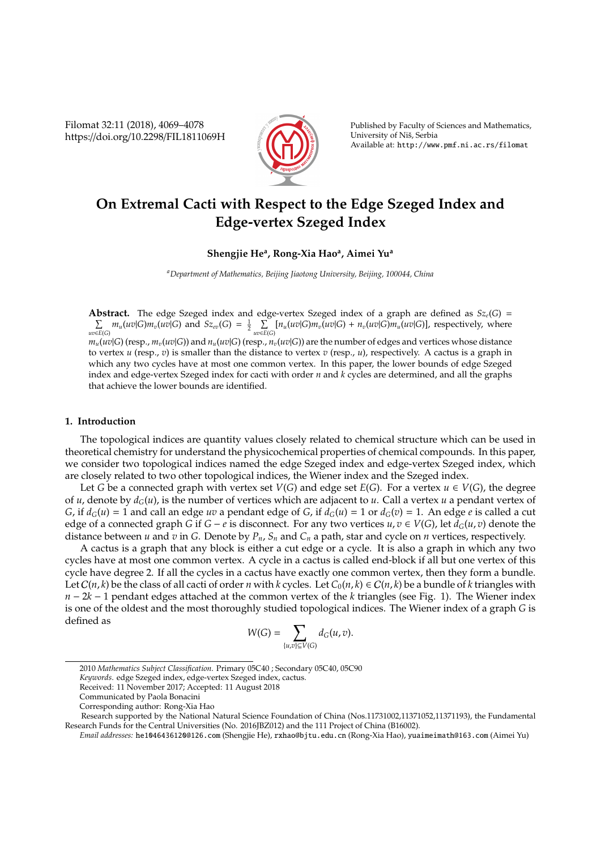Filomat 32:11 (2018), 4069–4078 https://doi.org/10.2298/FIL1811069H



Published by Faculty of Sciences and Mathematics, University of Niš, Serbia Available at: http://www.pmf.ni.ac.rs/filomat

# **On Extremal Cacti with Respect to the Edge Szeged Index and Edge-vertex Szeged Index**

# **Shengjie He<sup>a</sup> , Rong-Xia Hao<sup>a</sup> , Aimei Yu<sup>a</sup>**

*<sup>a</sup>Department of Mathematics, Beijing Jiaotong University, Beijing, 100044, China*

**Abstract.** The edge Szeged index and edge-vertex Szeged index of a graph are defined as  $Sz_e(G)$  =  $\sum_{P \in \mathcal{P}} m_u(uv | G) m_v(uv | G)$  and  $Sz_{ev}(G) = \frac{1}{2}$ *uv*∈*E*(*G*)  $\sum_{uv\in E(G)} [n_u(uv|G)m_v(uv|G) + n_v(uv|G)m_u(uv|G)]$ , respectively, where  $m_u(uv|G)$  (resp.,  $m_v(uv|G)$ ) and  $n_u(uv|G)$  (resp.,  $n_v(uv|G)$ ) are the number of edges and vertices whose distance to vertex *u* (resp., *v*) is smaller than the distance to vertex *v* (resp., *u*), respectively. A cactus is a graph in which any two cycles have at most one common vertex. In this paper, the lower bounds of edge Szeged index and edge-vertex Szeged index for cacti with order *n* and *k* cycles are determined, and all the graphs that achieve the lower bounds are identified.

### **1. Introduction**

The topological indices are quantity values closely related to chemical structure which can be used in theoretical chemistry for understand the physicochemical properties of chemical compounds. In this paper, we consider two topological indices named the edge Szeged index and edge-vertex Szeged index, which are closely related to two other topological indices, the Wiener index and the Szeged index.

Let *G* be a connected graph with vertex set *V*(*G*) and edge set *E*(*G*). For a vertex  $u \in V(G)$ , the degree of *u*, denote by *dG*(*u*), is the number of vertices which are adjacent to *u*. Call a vertex *u* a pendant vertex of *G*, if  $d_G(u) = 1$  and call an edge *uv* a pendant edge of *G*, if  $d_G(u) = 1$  or  $d_G(v) = 1$ . An edge *e* is called a cut edge of a connected graph *G* if *G* − *e* is disconnect. For any two vertices  $u, v \in V(G)$ , let  $d_G(u, v)$  denote the distance between *u* and *v* in *G*. Denote by  $P_n$ ,  $S_n$  and  $C_n$  a path, star and cycle on *n* vertices, respectively.

A cactus is a graph that any block is either a cut edge or a cycle. It is also a graph in which any two cycles have at most one common vertex. A cycle in a cactus is called end-block if all but one vertex of this cycle have degree 2. If all the cycles in a cactus have exactly one common vertex, then they form a bundle. Let  $C(n, k)$  be the class of all cacti of order *n* with *k* cycles. Let  $C_0(n, k) \in C(n, k)$  be a bundle of *k* triangles with *n* − 2*k* − 1 pendant edges attached at the common vertex of the *k* triangles (see Fig. 1). The Wiener index is one of the oldest and the most thoroughly studied topological indices. The Wiener index of a graph *G* is defined as

$$
W(G)=\sum_{\{u,v\}\subseteq V(G)}d_G(u,v).
$$

<sup>2010</sup> *Mathematics Subject Classification*. Primary 05C40 ; Secondary 05C40, 05C90

*Keywords*. edge Szeged index, edge-vertex Szeged index, cactus.

Received: 11 November 2017; Accepted: 11 August 2018

Communicated by Paola Bonacini

Corresponding author: Rong-Xia Hao

Research supported by the National Natural Science Foundation of China (Nos.11731002,11371052,11371193), the Fundamental Research Funds for the Central Universities (No. 2016JBZ012) and the 111 Project of China (B16002).

*Email addresses:* he1046436120@126.com (Shengjie He), rxhao@bjtu.edu.cn (Rong-Xia Hao), yuaimeimath@163.com (Aimei Yu)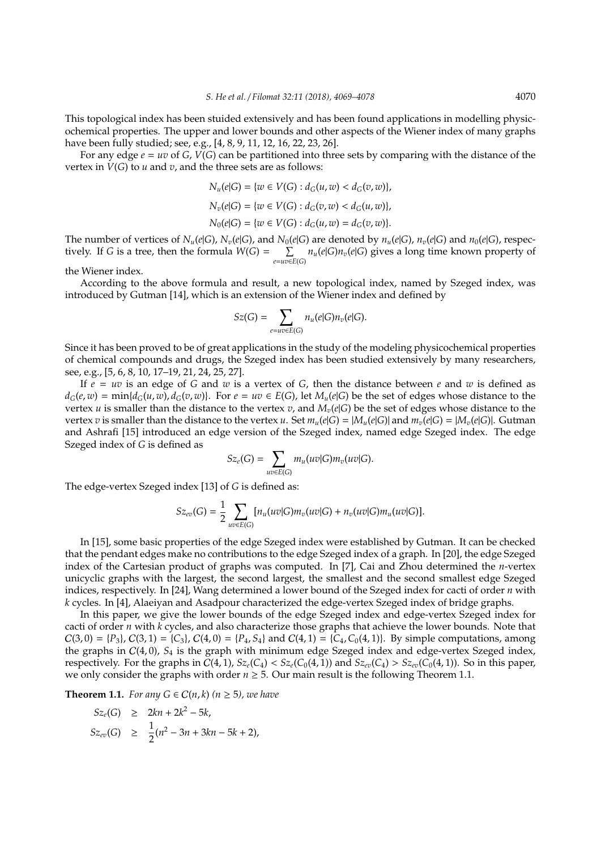This topological index has been stuided extensively and has been found applications in modelling physicochemical properties. The upper and lower bounds and other aspects of the Wiener index of many graphs have been fully studied; see, e.g., [4, 8, 9, 11, 12, 16, 22, 23, 26].

For any edge  $e = uv$  of  $G$ ,  $V(G)$  can be partitioned into three sets by comparing with the distance of the vertex in  $V(G)$  to  $u$  and  $v$ , and the three sets are as follows:

$$
N_u(e|G) = \{w \in V(G) : d_G(u, w) < d_G(v, w)\},
$$
\n
$$
N_v(e|G) = \{w \in V(G) : d_G(v, w) < d_G(u, w)\},
$$
\n
$$
N_0(e|G) = \{w \in V(G) : d_G(u, w) = d_G(v, w)\}.
$$

The number of vertices of  $N_u(e|G)$ ,  $N_v(e|G)$ , and  $N_0(e|G)$  are denoted by  $n_u(e|G)$ ,  $n_v(e|G)$  and  $n_0(e|G)$ , respectively. If *G* is a tree, then the formula  $W(G) = \sum$  $\sum_{e=uv\in E(G)}$  *n*<sub>*u*</sub>(*e*|*G*)*n*<sub>*v*</sub>(*e*|*G*) gives a long time known property of

the Wiener index.

According to the above formula and result, a new topological index, named by Szeged index, was introduced by Gutman [14], which is an extension of the Wiener index and defined by

$$
Sz(G) = \sum_{e=uv \in E(G)} n_u(e|G)n_v(e|G).
$$

Since it has been proved to be of great applications in the study of the modeling physicochemical properties of chemical compounds and drugs, the Szeged index has been studied extensively by many researchers, see, e.g., [5, 6, 8, 10, 17–19, 21, 24, 25, 27].

If  $e = uv$  is an edge of *G* and *w* is a vertex of *G*, then the distance between *e* and *w* is defined as  $d_G(e, w) = min{d_G(u, w), d_G(v, w)}$ . For  $e = uv \in E(G)$ , let  $M_u(e|G)$  be the set of edges whose distance to the vertex *u* is smaller than the distance to the vertex *v*, and *Mv*(*e*|*G*) be the set of edges whose distance to the vertex v is smaller than the distance to the vertex u. Set  $m_u(e|G) = |M_u(e|G)|$  and  $m_v(e|G) = |M_v(e|G)|$ . Gutman and Ashrafi [15] introduced an edge version of the Szeged index, named edge Szeged index. The edge Szeged index of *G* is defined as

$$
Sz_e(G) = \sum_{uv \in E(G)} m_u(uv|G) m_v(uv|G).
$$

The edge-vertex Szeged index [13] of *G* is defined as:

$$
Sz_{ev}(G) = \frac{1}{2} \sum_{uv \in E(G)} [n_u(uv|G)m_v(uv|G) + n_v(uv|G)m_u(uv|G)].
$$

In [15], some basic properties of the edge Szeged index were established by Gutman. It can be checked that the pendant edges make no contributions to the edge Szeged index of a graph. In [20], the edge Szeged index of the Cartesian product of graphs was computed. In [7], Cai and Zhou determined the *n*-vertex unicyclic graphs with the largest, the second largest, the smallest and the second smallest edge Szeged indices, respectively. In [24], Wang determined a lower bound of the Szeged index for cacti of order *n* with *k* cycles. In [4], Alaeiyan and Asadpour characterized the edge-vertex Szeged index of bridge graphs.

In this paper, we give the lower bounds of the edge Szeged index and edge-vertex Szeged index for cacti of order *n* with *k* cycles, and also characterize those graphs that achieve the lower bounds. Note that  $C(3,0) = {P_3}, C(3,1) = {C_3}, C(4,0) = {P_4}, S_4$  and  $C(4,1) = {C_4}, C_0(4,1)$ . By simple computations, among the graphs in C(4, 0), *S*<sup>4</sup> is the graph with minimum edge Szeged index and edge-vertex Szeged index, respectively. For the graphs in  $C(4, 1)$ ,  $Sz_e(C_4) < Sz_e(C_0(4, 1))$  and  $Sz_{ev}(C_4) > Sz_{ev}(C_0(4, 1))$ . So in this paper, we only consider the graphs with order  $n \geq 5$ . Our main result is the following Theorem 1.1.

**Theorem 1.1.** *For any*  $G \in C(n,k)$   $(n \geq 5)$ *, we have* 

$$
Sz_e(G) \geq 2kn + 2k^2 - 5k,
$$
  
\n
$$
Sz_{ev}(G) \geq \frac{1}{2}(n^2 - 3n + 3kn - 5k + 2),
$$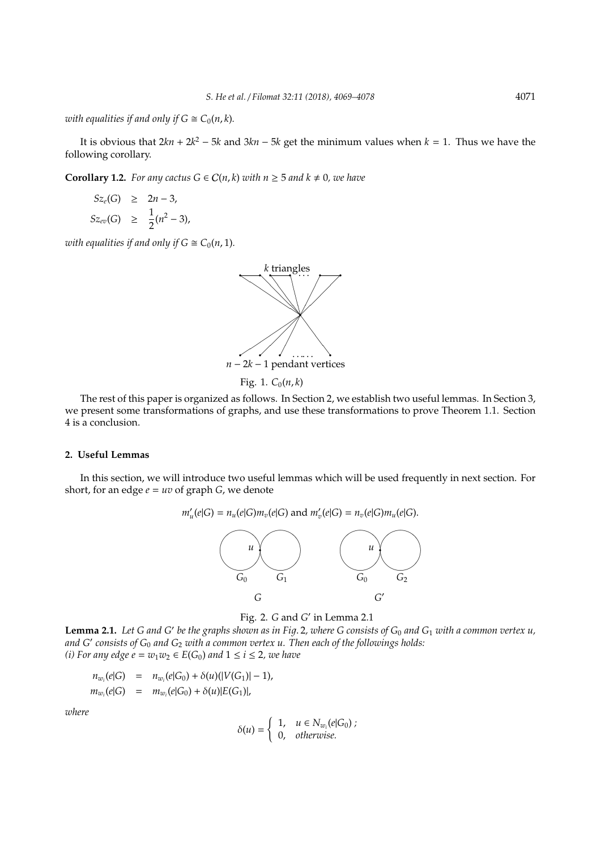*with equalities if and only if*  $G \cong C_0(n, k)$ *.* 

It is obvious that  $2kn + 2k^2 - 5k$  and  $3kn - 5k$  get the minimum values when  $k = 1$ . Thus we have the following corollary.

**Corollary 1.2.** *For any cactus*  $G \in C(n, k)$  *with*  $n \geq 5$  *and*  $k \neq 0$ *, we have* 

$$
Sz_e(G) \geq 2n - 3,
$$
  
\n
$$
Sz_{ev}(G) \geq \frac{1}{2}(n^2 - 3),
$$

*with equalities if and only if*  $G \cong C_0(n, 1)$ *.* 



Fig. 1.  $C_0(n, k)$ 

The rest of this paper is organized as follows. In Section 2, we establish two useful lemmas. In Section 3, we present some transformations of graphs, and use these transformations to prove Theorem 1.1. Section 4 is a conclusion.

## **2. Useful Lemmas**

In this section, we will introduce two useful lemmas which will be used frequently in next section. For short, for an edge  $e = uv$  of graph  $G$ , we denote

$$
u'(e|G) = n_u(e|G)m_v(e|G) \text{ and } m'_v(e|G) = n_v(e|G)m_u(e|G).
$$



**Lemma 2.1.** Let G and G' be the graphs shown as in Fig. 2, where G consists of G<sub>0</sub> and G<sub>1</sub> with a common vertex u, *and G*<sup>0</sup> *consists of G*<sup>0</sup> *and G*<sup>2</sup> *with a common vertex u. Then each of the followings holds: (i)* For any edge  $e = w_1w_2 \in E(G_0)$  and  $1 \le i \le 2$ , we have

$$
n_{w_i}(e|G) = n_{w_i}(e|G_0) + \delta(u)(|V(G_1)| - 1),
$$
  
\n
$$
m_{w_i}(e|G) = m_{w_i}(e|G_0) + \delta(u)|E(G_1)|,
$$

 $m'_i$ 

*where*

$$
\delta(u) = \begin{cases} 1, & u \in N_{w_i}(e|G_0); \\ 0, & otherwise. \end{cases}
$$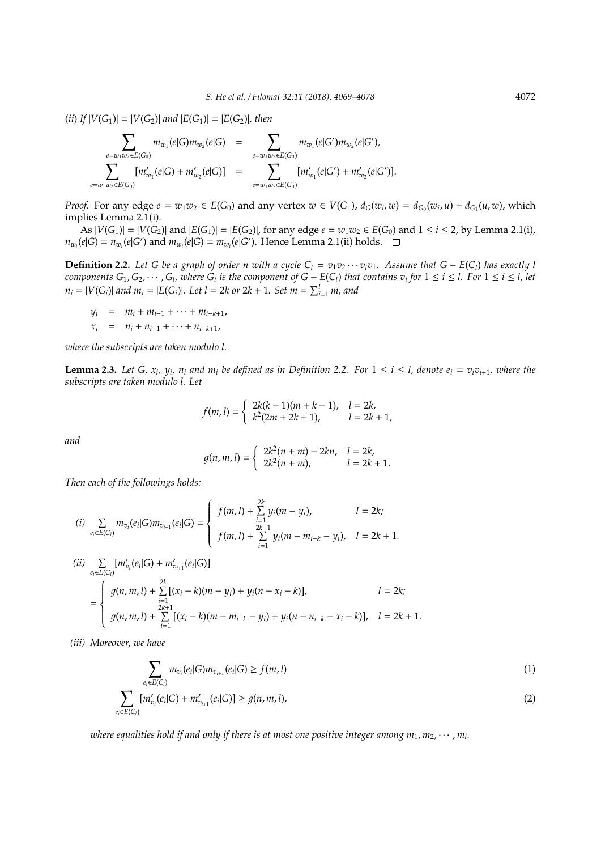$(iii)$  *If*  $|V(G_1)| = |V(G_2)|$  *and*  $|E(G_1)| = |E(G_2)|$ *, then* 

$$
\sum_{e=w_1w_2\in E(G_0)} m_{w_1}(e|G)m_{w_2}(e|G) = \sum_{e=w_1w_2\in E(G_0)} m_{w_1}(e|G')m_{w_2}(e|G'),
$$
  

$$
\sum_{e=w_1w_2\in E(G_0)} [m'_{w_1}(e|G) + m'_{w_2}(e|G)] = \sum_{e=w_1w_2\in E(G_0)} [m'_{w_1}(e|G') + m'_{w_2}(e|G')].
$$

*Proof.* For any edge  $e = w_1w_2 \in E(G_0)$  and any vertex  $w \in V(G_1)$ ,  $d_G(w_i, w) = d_{G_0}(w_i, u) + d_{G_1}(u, w)$ , which implies Lemma 2.1(i).

 $|X \cap B| = |V(G_1)| = |V(G_2)|$  and  $|E(G_1)| = |E(G_2)|$ , for any edge  $e = w_1w_2 ∈ E(G_0)$  and  $1 ≤ i ≤ 2$ , by Lemma 2.1(i),  $n_{w_i}(e|G) = n_{w_i}(e|G')$  and  $m_{w_i}(e|G) = m_{w_i}(e|G')$ . Hence Lemma 2.1(ii) holds.

**Definition 2.2.** Let G be a graph of order n with a cycle  $C_1 = v_1v_2 \cdots v_lv_1$ . Assume that  $G - E(C_l)$  has exactly l components  $G_1, G_2, \cdots, G_l$ , where  $G_i$  is the component of  $G - E(C_l)$  that contains  $v_i$  for  $1 \le i \le l$ . For  $1 \le i \le l$ , let *n*<sub>*i*</sub> = |*V*(*G*<sub>*i*</sub>)| *and m*<sub>*i*</sub> = |*E*(*G*<sub>*i*</sub>)|*. Let l* = 2*k or* 2*k* + 1*. Set m* =  $\sum_{i=1}^{l} m_i$  *and* 

$$
y_i = m_i + m_{i-1} + \dots + m_{i-k+1},
$$
  

$$
x_i = n_i + n_{i-1} + \dots + n_{i-k+1},
$$

*where the subscripts are taken modulo l.*

**Lemma 2.3.** Let G,  $x_i$ ,  $y_i$ ,  $n_i$  and  $m_i$  be defined as in Definition 2.2. For  $1 \le i \le l$ , denote  $e_i = v_i v_{i+1}$ , where the *subscripts are taken modulo l. Let*

$$
f(m,l) = \begin{cases} 2k(k-1)(m+k-1), & l = 2k, \\ k^2(2m+2k+1), & l = 2k+1, \end{cases}
$$

*and*

$$
g(n, m, l) = \begin{cases} 2k^2(n + m) - 2kn, & l = 2k, \\ 2k^2(n + m), & l = 2k + 1. \end{cases}
$$

*Then each of the followings holds:*

(i) 
$$
\sum_{e_i \in E(C_i)} m_{v_i}(e_i|G) m_{v_{i+1}}(e_i|G) = \begin{cases} f(m,l) + \sum_{i=1}^{2k} y_i(m-y_i), & l = 2k; \\ f(m,l) + \sum_{i=1}^{2k+1} y_i(m-m_{i-k}-y_i), & l = 2k+1. \end{cases}
$$

$$
(ii) \sum_{e_i \in E(C_i)} [m'_{v_i}(e_i|G) + m'_{v_{i+1}}(e_i|G)]
$$
  
= 
$$
\begin{cases} g(n, m, l) + \sum_{i=1}^{2k} [(x_i - k)(m - y_i) + y_i(n - x_i - k)], & l = 2k; \\ g(n, m, l) + \sum_{i=1}^{2k+1} [(x_i - k)(m - m_{i-k} - y_i) + y_i(n - n_{i-k} - x_i - k)], & l = 2k + 1. \end{cases}
$$

*(iii) Moreover, we have*

$$
\sum_{e_i \in E(C_i)} m_{v_i}(e_i|G) m_{v_{i+1}}(e_i|G) \ge f(m, l)
$$
\n
$$
\sum_{e_i \in E(C_i)} [m'_{v_i}(e_i|G) + m'_{v_{i+1}}(e_i|G)] \ge g(n, m, l),
$$
\n(2)

where equalities hold if and only if there is at most one positive integer among  $m_1, m_2, \cdots$  ,  $m_l$ .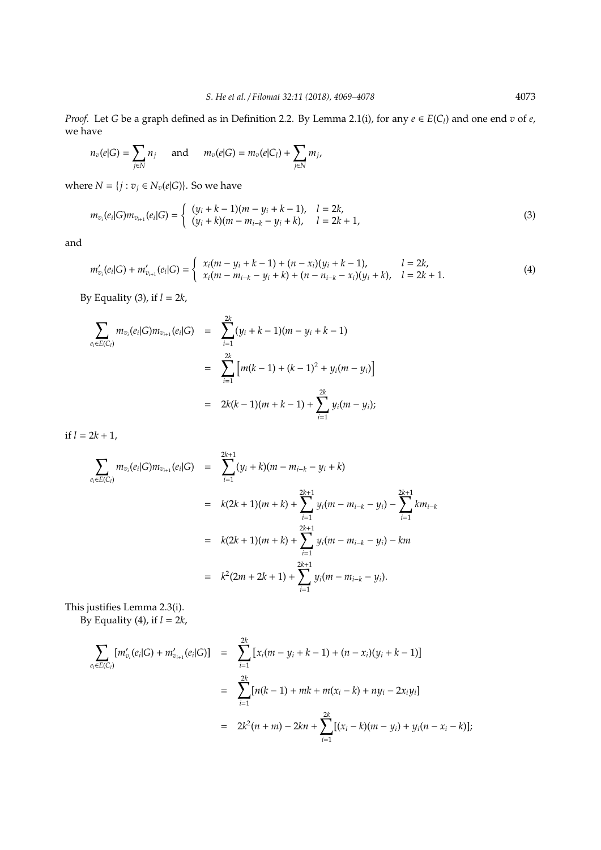*Proof.* Let *G* be a graph defined as in Definition 2.2. By Lemma 2.1(i), for any  $e \in E(C_l)$  and one end *v* of *e*, we have

$$
n_v(e|G) = \sum_{j \in N} n_j \quad \text{ and } \quad m_v(e|G) = m_v(e|C_l) + \sum_{j \in N} m_j,
$$

where  $N = \{j : v_j \in N_v(e|G)\}\)$ . So we have

$$
m_{v_i}(e_i|G)m_{v_{i+1}}(e_i|G) = \begin{cases} (y_i + k - 1)(m - y_i + k - 1), & l = 2k, \\ (y_i + k)(m - m_{i-k} - y_i + k), & l = 2k + 1, \end{cases}
$$
(3)

and

$$
m'_{v_i}(e_i|G) + m'_{v_{i+1}}(e_i|G) = \begin{cases} x_i(m-y_i+k-1) + (n-x_i)(y_i+k-1), & l = 2k, \\ x_i(m-m_{i-k}-y_i+k) + (n-n_{i-k}-x_i)(y_i+k), & l = 2k+1. \end{cases}
$$
(4)

By Equality (3), if *l* = 2*k*,

$$
\sum_{e_i \in E(C_i)} m_{v_i}(e_i|G) m_{v_{i+1}}(e_i|G) = \sum_{i=1}^{2k} (y_i + k - 1)(m - y_i + k - 1)
$$
  
= 
$$
\sum_{i=1}^{2k} \left[ m(k - 1) + (k - 1)^2 + y_i(m - y_i) \right]
$$
  
= 
$$
2k(k - 1)(m + k - 1) + \sum_{i=1}^{2k} y_i(m - y_i);
$$

if  $l = 2k + 1$ ,

$$
\sum_{e_i \in E(C_i)} m_{v_i}(e_i|G) m_{v_{i+1}}(e_i|G) = \sum_{i=1}^{2k+1} (y_i + k)(m - m_{i-k} - y_i + k)
$$
  
\n
$$
= k(2k+1)(m+k) + \sum_{i=1}^{2k+1} y_i(m - m_{i-k} - y_i) - \sum_{i=1}^{2k+1} km_{i-k}
$$
  
\n
$$
= k(2k+1)(m+k) + \sum_{i=1}^{2k+1} y_i(m - m_{i-k} - y_i) - km
$$
  
\n
$$
= k^2(2m + 2k + 1) + \sum_{i=1}^{2k+1} y_i(m - m_{i-k} - y_i).
$$

This justifies Lemma 2.3(i). By Equality (4), if *l* = 2*k*,

$$
\sum_{e_i \in E(C_i)} [m'_{v_i}(e_i|G) + m'_{v_{i+1}}(e_i|G)] = \sum_{i=1}^{2k} [x_i(m - y_i + k - 1) + (n - x_i)(y_i + k - 1)]
$$
  

$$
= \sum_{i=1}^{2k} [n(k - 1) + mk + m(x_i - k) + ny_i - 2x_iy_i]
$$
  

$$
= 2k^2(n + m) - 2kn + \sum_{i=1}^{2k} [(x_i - k)(m - y_i) + y_i(n - x_i - k)];
$$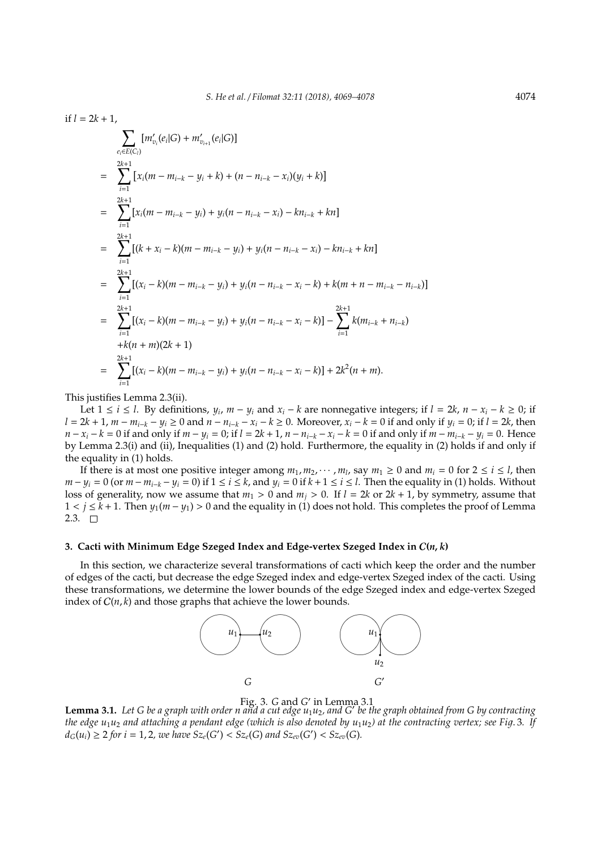$$
if l = 2k + 1,
$$
\n
$$
\sum_{e_i \in E(C_i)} [m'_{v_i}(e_i|G) + m'_{v_{i+1}}(e_i|G)]
$$
\n
$$
= \sum_{i=1}^{2k+1} [x_i(m - m_{i-k} - y_i + k) + (n - n_{i-k} - x_i)(y_i + k)]
$$
\n
$$
= \sum_{i=1}^{2k+1} [x_i(m - m_{i-k} - y_i) + y_i(n - n_{i-k} - x_i) - kn_{i-k} + kn]
$$
\n
$$
= \sum_{i=1}^{2k+1} [(k + x_i - k)(m - m_{i-k} - y_i) + y_i(n - n_{i-k} - x_i) - kn_{i-k} + kn]
$$
\n
$$
= \sum_{i=1}^{2k+1} [(x_i - k)(m - m_{i-k} - y_i) + y_i(n - n_{i-k} - x_i - k) + k(m + n - m_{i-k} - n_{i-k})]
$$
\n
$$
= \sum_{i=1}^{2k+1} [(x_i - k)(m - m_{i-k} - y_i) + y_i(n - n_{i-k} - x_i - k)] - \sum_{i=1}^{2k+1} k(m_{i-k} + n_{i-k})
$$
\n
$$
+ k(n + m)(2k + 1)
$$

$$
= \sum_{i=1}^{2k+1} [(x_i - k)(m - m_{i-k} - y_i) + y_i(n - n_{i-k} - x_i - k)] + 2k^2(n + m).
$$

This justifies Lemma 2.3(ii).

Let 1 ≤ *i* ≤ *l*. By definitions,  $y_i$ ,  $m - y_i$  and  $x_i - k$  are nonnegative integers; if  $l = 2k$ ,  $n - x_i - k ≥ 0$ ; if  $l = 2k + 1$ ,  $m - m_{i-k} - y_i \ge 0$  and  $n - n_{i-k} - x_i - k \ge 0$ . Moreover,  $x_i - k = 0$  if and only if  $y_i = 0$ ; if  $l = 2k$ , then  $n - x_i - k = 0$  if and only if  $m - y_i = 0$ ; if  $l = 2k + 1$ ,  $n - n_{i-k} - x_i - k = 0$  if and only if  $m - m_{i-k} - y_i = 0$ . Hence by Lemma 2.3(i) and (ii), Inequalities (1) and (2) hold. Furthermore, the equality in (2) holds if and only if the equality in (1) holds.

If there is at most one positive integer among  $m_1, m_2, \cdots, m_l$ , say  $m_1 \ge 0$  and  $m_i = 0$  for  $2 \le i \le l$ , then  $m - y_i = 0$  (or  $m - m_{i-k} - y_i = 0$ ) if  $1 \le i \le k$ , and  $y_i = 0$  if  $k + 1 \le i \le l$ . Then the equality in (1) holds. Without loss of generality, now we assume that  $m_1 > 0$  and  $m_i > 0$ . If  $l = 2k$  or  $2k + 1$ , by symmetry, assume that 1 < *j* ≤ *k* + 1. Then *y*1(*m* − *y*1) > 0 and the equality in (1) does not hold. This completes the proof of Lemma 2.3.  $\Box$ 

## **3. Cacti with Minimum Edge Szeged Index and Edge-vertex Szeged Index in** C**(***n*, *k***)**

In this section, we characterize several transformations of cacti which keep the order and the number of edges of the cacti, but decrease the edge Szeged index and edge-vertex Szeged index of the cacti. Using these transformations, we determine the lower bounds of the edge Szeged index and edge-vertex Szeged index of  $C(n, k)$  and those graphs that achieve the lower bounds.





Fig. 3. *G* and *G'* in Lemma 3.1<br>**Lemma 3.1.** Let *G* be a graph with order n and a cut edge u<sub>1</sub>u<sub>2</sub>, and *G'* be the graph obtained from *G* by contracting *the edge u*<sub>1</sub>*u*<sub>2</sub> *and attaching a pendant edge (which is also denoted by <i>u*<sub>1</sub>*u*<sub>2</sub>) at the contracting vertex; see Fig. 3. If  $d_G(u_i) \geq 2$  for  $i = 1, 2$ , we have  $Sz_e(G') < Sz_e(G)$  and  $Sz_{ev}(G') < Sz_{ev}(G)$ .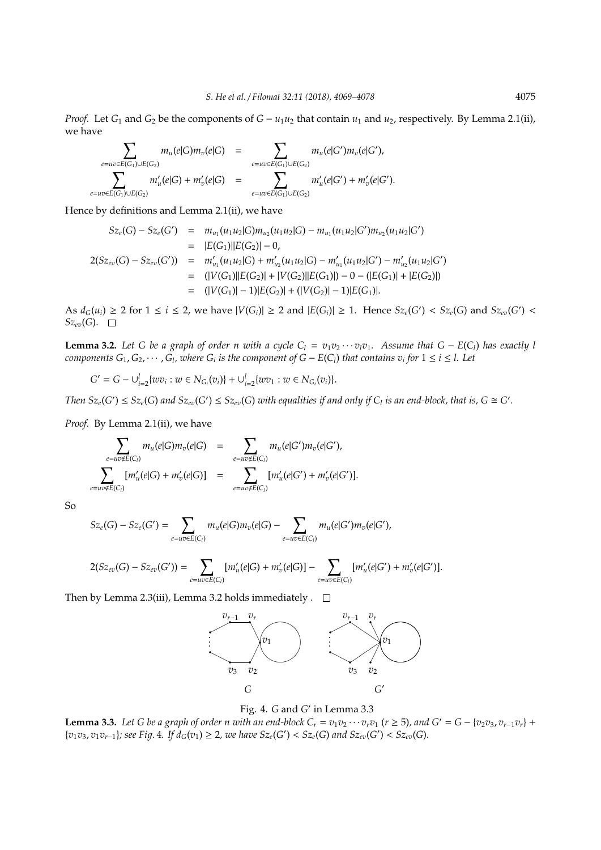*Proof.* Let  $G_1$  and  $G_2$  be the components of  $G - u_1u_2$  that contain  $u_1$  and  $u_2$ , respectively. By Lemma 2.1(ii), we have

$$
\sum_{e=uv\in E(G_1)\cup E(G_2)} m_u(e|G)m_v(e|G) = \sum_{e=uv\in E(G_1)\cup E(G_2)} m_u(e|G')m_v(e|G'),
$$
  

$$
\sum_{e=uv\in E(G_1)\cup E(G_2)} m'_u(e|G) + m'_v(e|G) = \sum_{e=uv\in E(G_1)\cup E(G_2)} m'_u(e|G') + m'_v(e|G').
$$

Hence by definitions and Lemma 2.1(ii), we have

$$
Sz_e(G) - Sz_e(G') = m_{u_1}(u_1u_2|G)m_{u_2}(u_1u_2|G) - m_{u_1}(u_1u_2|G')m_{u_2}(u_1u_2|G')
$$
  
\n
$$
= |E(G_1)||E(G_2)| - 0,
$$
  
\n
$$
2(Sz_{ev}(G) - Sz_{ev}(G')) = m'_{u_1}(u_1u_2|G) + m'_{u_2}(u_1u_2|G) - m'_{u_1}(u_1u_2|G') - m'_{u_2}(u_1u_2|G')
$$
  
\n
$$
= (|V(G_1)||E(G_2)| + |V(G_2)||E(G_1)|) - 0 - (|E(G_1)| + |E(G_2)|)
$$
  
\n
$$
= (|V(G_1)| - 1)|E(G_2)| + (|V(G_2)| - 1)|E(G_1)|.
$$

As  $d_G(u_i) \ge 2$  for  $1 \le i \le 2$ , we have  $|V(G_i)| \ge 2$  and  $|E(G_i)| \ge 1$ . Hence  $Sz_e(G') < Sz_e(G)$  and  $Sz_{ev}(G')$  $Sz_{ev}(G). \square$ 

**Lemma 3.2.** Let G be a graph of order n with a cycle  $C_1 = v_1v_2 \cdots v_iv_1$ . Assume that  $G - E(C_1)$  has exactly l *components*  $G_1, G_2, \cdots, G_l$ , where  $G_i$  is the component of  $G - E(C_l)$  that contains  $v_i$  for  $1 \le i \le l$ . Let

$$
G' = G - \bigcup_{i=2}^{l} \{ wv_i : w \in N_{G_i}(v_i) \} + \bigcup_{i=2}^{l} \{ wv_1 : w \in N_{G_i}(v_i) \}.
$$

Then  $Sz_e(G') \leq Sz_e(G)$  and  $Sz_{ev}(G') \leq Sz_{ev}(G)$  with equalities if and only if  $C_l$  is an end-block, that is,  $G \cong G'$ .

*Proof.* By Lemma 2.1(ii), we have

$$
\sum_{e=uv \notin E(C_i)} m_u(e|G) m_v(e|G) = \sum_{e=uv \notin E(C_i)} m_u(e|G') m_v(e|G'),
$$
  

$$
\sum_{e=uv \notin E(C_i)} [m'_u(e|G) + m'_v(e|G)] = \sum_{e=uv \notin E(C_i)} [m'_u(e|G') + m'_v(e|G')].
$$

So

$$
Sz_e(G) - Sz_e(G') = \sum_{e=uv \in E(C_l)} m_u(e|G) m_v(e|G) - \sum_{e=uv \in E(C_l)} m_u(e|G') m_v(e|G'),
$$

$$
2(Sz_{ev}(G)-Sz_{ev}(G'))=\sum_{e=uv\in E(C_i)}[m'_u(e|G)+m'_v(e|G)]-\sum_{e=uv\in E(C_i)}[m'_u(e|G')+m'_v(e|G')].
$$

Then by Lemma 2.3(iii), Lemma 3.2 holds immediately .  $\Box$ 



Fig. 4. *G* and *G'* in Lemma 3.3

**Lemma 3.3.** Let G be a graph of order n with an end-block  $C_r = v_1v_2 \cdots v_rv_1$  ( $r \ge 5$ ), and  $G' = G - \{v_2v_3, v_{r-1}v_r\}$  +  $\{v_1v_3, v_1v_{r-1}\}\$ ; see Fig. 4. If  $d_G(v_1) \geq 2$ , we have  $Sz_e(G') < Sz_e(G)$  and  $Sz_{ev}(G') < Sz_{ev}(G)$ .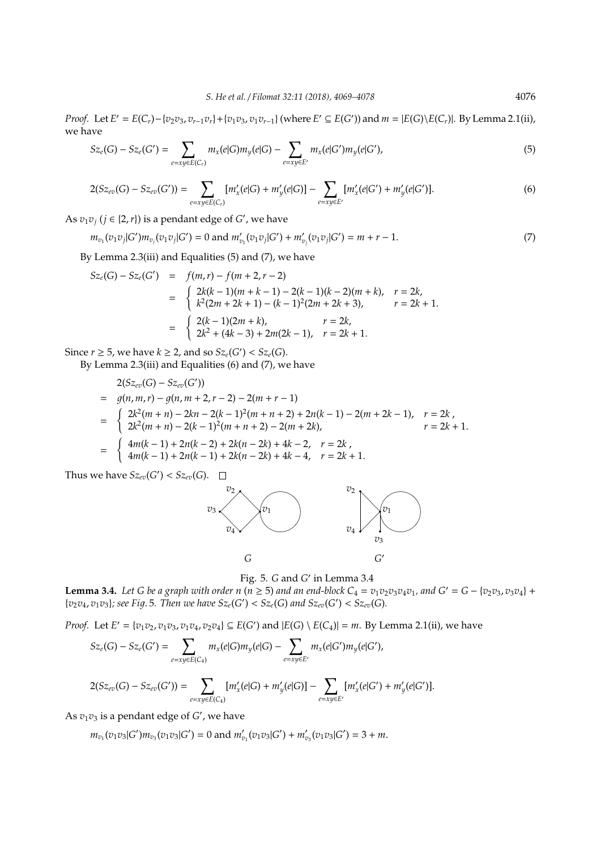*Proof.* Let  $E' = E(C_r) - \{v_2v_3, v_{r-1}v_r\} + \{v_1v_3, v_1v_{r-1}\}$  (where  $E' \subseteq E(G')$ ) and  $m = |E(G) \setminus E(C_r)|$ . By Lemma 2.1(ii), we have

$$
Sz_e(G) - Sz_e(G') = \sum_{e=xy \in E(C_r)} m_x(e|G) m_y(e|G) - \sum_{e=xy \in E'} m_x(e|G') m_y(e|G'),
$$
\n(5)

$$
2(Sz_{ev}(G) - Sz_{ev}(G')) = \sum_{e=xy \in E(C_r)} [m'_x(e|G) + m'_y(e|G)] - \sum_{e=xy \in E'} [m'_x(e|G') + m'_y(e|G')].
$$
\n(6)

As  $v_1v_j$  ( $j \in \{2, r\}$ ) is a pendant edge of *G'*, we have

$$
m_{v_1}(v_1v_j|G')m_{v_j}(v_1v_j|G') = 0 \text{ and } m'_{v_1}(v_1v_j|G') + m'_{v_j}(v_1v_j|G') = m + r - 1. \tag{7}
$$

By Lemma 2.3(iii) and Equalities (5) and (7), we have

$$
Sz_e(G) - Sz_e(G') = f(m, r) - f(m + 2, r - 2)
$$
  
= 
$$
\begin{cases} 2k(k - 1)(m + k - 1) - 2(k - 1)(k - 2)(m + k), & r = 2k, \\ k^2(2m + 2k + 1) - (k - 1)^2(2m + 2k + 3), & r = 2k + 1. \end{cases}
$$
  
= 
$$
\begin{cases} 2(k - 1)(2m + k), & r = 2k, \\ 2k^2 + (4k - 3) + 2m(2k - 1), & r = 2k + 1. \end{cases}
$$

Since  $r \geq 5$ , we have  $k \geq 2$ , and so  $Sz_e(G') < Sz_e(G)$ .

By Lemma 2.3(iii) and Equalities (6) and (7), we have

$$
2(Sz_{ev}(G) - Sz_{ev}(G'))
$$
  
=  $g(n, m, r) - g(n, m + 2, r - 2) - 2(m + r - 1)$   
=  $\begin{cases} 2k^2(m + n) - 2kn - 2(k - 1)^2(m + n + 2) + 2n(k - 1) - 2(m + 2k - 1), & r = 2k \\ 2k^2(m + n) - 2(k - 1)^2(m + n + 2) - 2(m + 2k), & r = 2k + 1. \end{cases}$   
=  $\begin{cases} 4m(k - 1) + 2n(k - 2) + 2k(n - 2k) + 4k - 2, & r = 2k \\ 4m(k - 1) + 2n(k - 1) + 2k(n - 2k) + 4k - 4, & r = 2k + 1. \end{cases}$ 

Thus we have  $Sz_{ev}(G') < Sz_{ev}(G)$ .



Fig. 5. *G* and *G'* in Lemma 3.4

**Lemma 3.4.** Let G be a graph with order n ( $n \ge 5$ ) and an end-block  $C_4 = v_1v_2v_3v_4v_1$ , and  $G' = G - \{v_2v_3, v_3v_4\} +$  ${v_2v_4, v_1v_3}$ ; see Fig. 5. Then we have  ${Sz_e(G') < Sz_e(G)}$  and  ${Sz_{ev}(G') < Sz_{ev}(G)}$ .

*Proof.* Let  $E' = \{v_1v_2, v_1v_3, v_1v_4, v_2v_4\} \subseteq E(G')$  and  $|E(G) \setminus E(C_4)| = m$ . By Lemma 2.1(ii), we have

$$
Sz_e(G) - Sz_e(G') = \sum_{e=xy \in E(C_4)} m_x(e|G) m_y(e|G) - \sum_{e=xy \in E'} m_x(e|G') m_y(e|G'),
$$

$$
2(Sz_{ev}(G)-Sz_{ev}(G'))=\sum_{e=xy\in E(C_4)}[m'_x(e|G)+m'_y(e|G)]-\sum_{e=xy\in E'}[m'_x(e|G')+m'_y(e|G')].
$$

As  $v_1v_3$  is a pendant edge of  $G'$ , we have

$$
m_{v_1}(v_1v_3)G'm_{v_3}(v_1v_3)G') = 0 \text{ and } m'_{v_1}(v_1v_3)G') + m'_{v_3}(v_1v_3)G' = 3 + m.
$$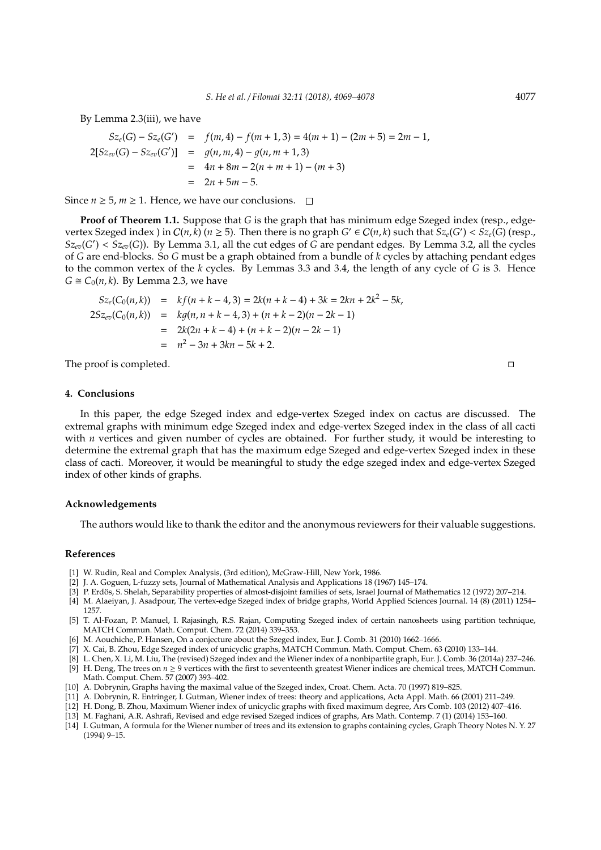By Lemma 2.3(iii), we have

$$
Sz_{e}(G) - Sz_{e}(G') = f(m, 4) - f(m + 1, 3) = 4(m + 1) - (2m + 5) = 2m - 1,
$$
  
\n
$$
2[Sz_{ev}(G) - Sz_{ev}(G')] = g(n, m, 4) - g(n, m + 1, 3)
$$
  
\n
$$
= 4n + 8m - 2(n + m + 1) - (m + 3)
$$
  
\n
$$
= 2n + 5m - 5.
$$

Since *n* ≥ 5, *m* ≥ 1. Hence, we have our conclusions.  $□$ 

**Proof of Theorem 1.1.** Suppose that *G* is the graph that has minimum edge Szeged index (resp., edgevertex Szeged index ) in  $C(n, k)$   $(n \ge 5)$ . Then there is no graph  $G' \in C(n, k)$  such that  $Sz_e(G') < Sz_e(G)$  (resp.,  $Sz_{ev}(G') < Sz_{ev}(G)$ ). By Lemma 3.1, all the cut edges of  $G$  are pendant edges. By Lemma 3.2, all the cycles of *G* are end-blocks. So *G* must be a graph obtained from a bundle of *k* cycles by attaching pendant edges to the common vertex of the *k* cycles. By Lemmas 3.3 and 3.4, the length of any cycle of *G* is 3. Hence  $G \cong C_0(n, k)$ . By Lemma 2.3, we have

$$
Sz_e(C_0(n,k)) = kf(n+k-4,3) = 2k(n+k-4) + 3k = 2kn + 2k^2 - 5k,
$$
  
\n
$$
2Sz_{ev}(C_0(n,k)) = kg(n, n+k-4,3) + (n+k-2)(n-2k-1)
$$
  
\n
$$
= 2k(2n+k-4) + (n+k-2)(n-2k-1)
$$
  
\n
$$
= n^2 - 3n + 3kn - 5k + 2.
$$

The proof is completed.

# **4. Conclusions**

In this paper, the edge Szeged index and edge-vertex Szeged index on cactus are discussed. The extremal graphs with minimum edge Szeged index and edge-vertex Szeged index in the class of all cacti with *n* vertices and given number of cycles are obtained. For further study, it would be interesting to determine the extremal graph that has the maximum edge Szeged and edge-vertex Szeged index in these class of cacti. Moreover, it would be meaningful to study the edge szeged index and edge-vertex Szeged index of other kinds of graphs.

#### **Acknowledgements**

The authors would like to thank the editor and the anonymous reviewers for their valuable suggestions.

### **References**

- [1] W. Rudin, Real and Complex Analysis, (3rd edition), McGraw-Hill, New York, 1986.
- [2] J. A. Goguen, L-fuzzy sets, Journal of Mathematical Analysis and Applications 18 (1967) 145–174.
- [3] P. Erdös, S. Shelah, Separability properties of almost-disjoint families of sets, Israel Journal of Mathematics 12 (1972) 207–214.
- [4] M. Alaeiyan, J. Asadpour, The vertex-edge Szeged index of bridge graphs, World Applied Sciences Journal. 14 (8) (2011) 1254– 1257.
- [5] T. Al-Fozan, P. Manuel, I. Rajasingh, R.S. Rajan, Computing Szeged index of certain nanosheets using partition technique, MATCH Commun. Math. Comput. Chem. 72 (2014) 339–353.
- [6] M. Aouchiche, P. Hansen, On a conjecture about the Szeged index, Eur. J. Comb. 31 (2010) 1662–1666.
- [7] X. Cai, B. Zhou, Edge Szeged index of unicyclic graphs, MATCH Commun. Math. Comput. Chem. 63 (2010) 133–144.
- [8] L. Chen, X. Li, M. Liu, The (revised) Szeged index and the Wiener index of a nonbipartite graph, Eur. J. Comb. 36 (2014a) 237–246.
- [9] H. Deng, The trees on  $n \ge 9$  vertices with the first to seventeenth greatest Wiener indices are chemical trees, MATCH Commun. Math. Comput. Chem. 57 (2007) 393–402.
- [10] A. Dobrynin, Graphs having the maximal value of the Szeged index, Croat. Chem. Acta. 70 (1997) 819–825.
- [11] A. Dobrynin, R. Entringer, I. Gutman, Wiener index of trees: theory and applications, Acta Appl. Math. 66 (2001) 211–249.
- [12] H. Dong, B. Zhou, Maximum Wiener index of unicyclic graphs with fixed maximum degree, Ars Comb. 103 (2012) 407–416.
- [13] M. Faghani, A.R. Ashrafi, Revised and edge revised Szeged indices of graphs, Ars Math. Contemp. 7 (1) (2014) 153–160.
- [14] I. Gutman, A formula for the Wiener number of trees and its extension to graphs containing cycles, Graph Theory Notes N. Y. 27 (1994) 9–15.